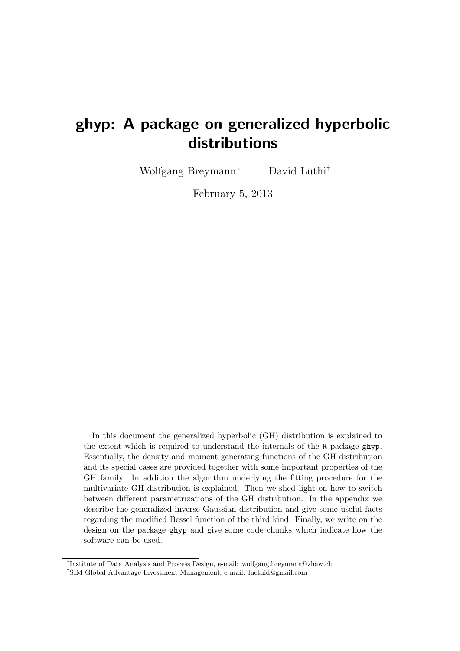# ghyp: A package on generalized hyperbolic distributions

Wolfgang Breymann<sup>\*</sup> David Lüthi<sup>†</sup>

February 5, 2013

In this document the generalized hyperbolic (GH) distribution is explained to the extent which is required to understand the internals of the R package ghyp. Essentially, the density and moment generating functions of the GH distribution and its special cases are provided together with some important properties of the GH family. In addition the algorithm underlying the fitting procedure for the multivariate GH distribution is explained. Then we shed light on how to switch between different parametrizations of the GH distribution. In the appendix we describe the generalized inverse Gaussian distribution and give some useful facts regarding the modified Bessel function of the third kind. Finally, we write on the design on the package ghyp and give some code chunks which indicate how the software can be used.

<sup>∗</sup> Institute of Data Analysis and Process Design, e-mail: wolfgang.breymann@zhaw.ch

<sup>†</sup>SIM Global Advantage Investment Management, e-mail: luethid@gmail.com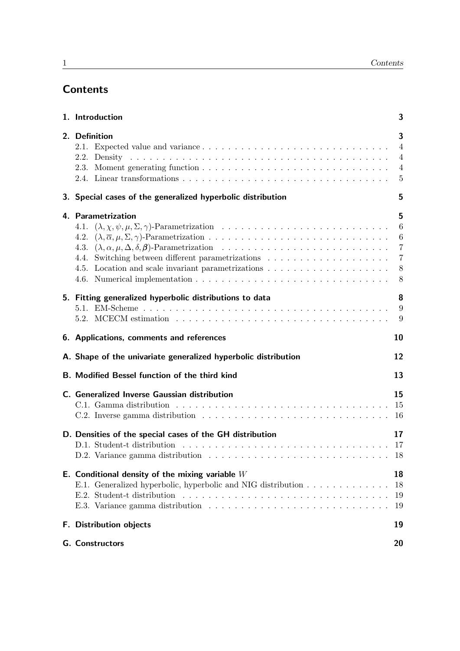# **Contents**

| 1. Introduction |                                                                                                                                                                                                                                 |                                                              |  |  |  |
|-----------------|---------------------------------------------------------------------------------------------------------------------------------------------------------------------------------------------------------------------------------|--------------------------------------------------------------|--|--|--|
|                 | 2. Definition                                                                                                                                                                                                                   | 3<br>$\overline{4}$<br>$\overline{4}$<br>$\overline{4}$<br>5 |  |  |  |
|                 | 3. Special cases of the generalized hyperbolic distribution                                                                                                                                                                     | 5                                                            |  |  |  |
|                 | 4. Parametrization<br>4.3.                                                                                                                                                                                                      | 5<br>6<br>8<br>8                                             |  |  |  |
|                 | 5. Fitting generalized hyperbolic distributions to data<br>5.2. MCECM estimation $\ldots \ldots \ldots \ldots \ldots \ldots \ldots \ldots \ldots \ldots \ldots \ldots$                                                          | 8                                                            |  |  |  |
|                 | 6. Applications, comments and references                                                                                                                                                                                        | 10                                                           |  |  |  |
|                 | A. Shape of the univariate generalized hyperbolic distribution                                                                                                                                                                  | 12                                                           |  |  |  |
|                 | <b>B. Modified Bessel function of the third kind</b>                                                                                                                                                                            | 13                                                           |  |  |  |
|                 | C. Generalized Inverse Gaussian distribution                                                                                                                                                                                    | 15                                                           |  |  |  |
|                 | D. Densities of the special cases of the GH distribution<br>D.1. Student-t distribution $\ldots \ldots \ldots \ldots \ldots \ldots \ldots \ldots \ldots \ldots \ldots \ldots \ldots$                                            | 17                                                           |  |  |  |
|                 | E. Conditional density of the mixing variable $W$<br>E.1. Generalized hyperbolic, hyperbolic and NIG distribution<br>E.2. Student-t distribution $\ldots \ldots \ldots \ldots \ldots \ldots \ldots \ldots \ldots \ldots \ldots$ | 18<br>18<br>19<br>19                                         |  |  |  |
|                 | F. Distribution objects                                                                                                                                                                                                         | 19                                                           |  |  |  |
|                 | <b>G.</b> Constructors                                                                                                                                                                                                          | 20                                                           |  |  |  |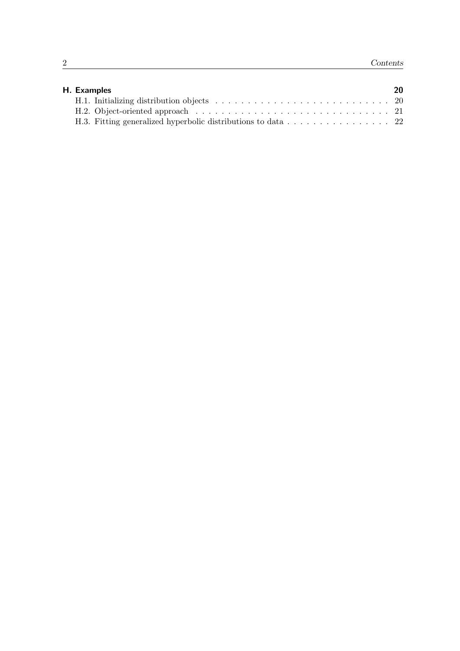| H. Examples | 20 |
|-------------|----|
|             |    |
|             |    |
|             |    |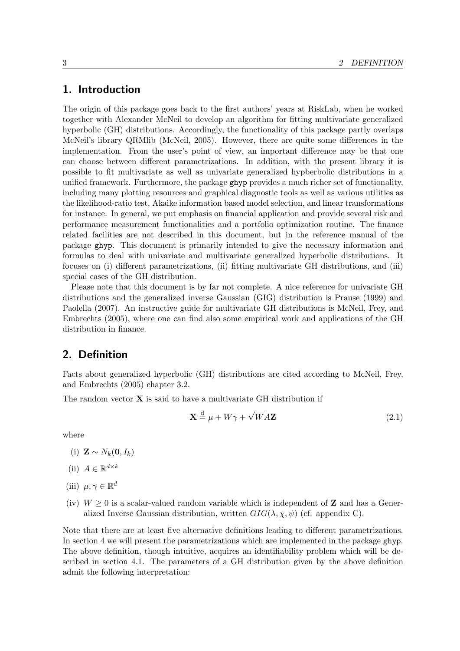### <span id="page-3-0"></span>1. Introduction

The origin of this package goes back to the first authors' years at RiskLab, when he worked together with Alexander McNeil to develop an algorithm for fitting multivariate generalized hyperbolic (GH) distributions. Accordingly, the functionality of this package partly overlaps McNeil's library QRMlib [\(McNeil, 2005\)](#page-25-0). However, there are quite some differences in the implementation. From the user's point of view, an important difference may be that one can choose between different parametrizations. In addition, with the present library it is possible to fit multivariate as well as univariate generalized hypberbolic distributions in a unified framework. Furthermore, the package ghyp provides a much richer set of functionality, including many plotting resources and graphical diagnostic tools as well as various utilities as the likelihood-ratio test, Akaike information based model selection, and linear transformations for instance. In general, we put emphasis on financial application and provide several risk and performance measurement functionalities and a portfolio optimization routine. The finance related facilities are not described in this document, but in the reference manual of the package ghyp. This document is primarily intended to give the necessary information and formulas to deal with univariate and multivariate generalized hyperbolic distributions. It focuses on (i) different parametrizations, (ii) fitting multivariate GH distributions, and (iii) special cases of the GH distribution.

Please note that this document is by far not complete. A nice reference for univariate GH distributions and the generalized inverse Gaussian (GIG) distribution is [Prause \(1999\)](#page-25-1) and [Paolella \(2007\)](#page-25-2). An instructive guide for multivariate GH distributions is [McNeil, Frey, and](#page-25-3) [Embrechts \(2005\)](#page-25-3), where one can find also some empirical work and applications of the GH distribution in finance.

### <span id="page-3-1"></span>2. Definition

Facts about generalized hyperbolic (GH) distributions are cited according to [McNeil, Frey,](#page-25-3) [and Embrechts \(2005\)](#page-25-3) chapter 3*.*2.

The random vector **X** is said to have a multivariate GH distribution if

$$
\mathbf{X} \stackrel{\text{d}}{=} \mu + W\gamma + \sqrt{W}A\mathbf{Z}
$$
 (2.1)

where

- $(i)$  **Z** ∼  $N_k$ **(0***, I<sub>k</sub>*)
- (ii)  $A \in \mathbb{R}^{d \times k}$
- (iii)  $\mu, \gamma \in \mathbb{R}^d$
- (iv)  $W \geq 0$  is a scalar-valued random variable which is independent of **Z** and has a Generalized Inverse Gaussian distribution, written  $GIG(\lambda, \chi, \psi)$  (cf. appendix [C\)](#page-15-0).

Note that there are at least five alternative definitions leading to different parametrizations. In section [4](#page-5-2) we will present the parametrizations which are implemented in the package ghyp. The above definition, though intuitive, acquires an identifiability problem which will be described in section [4.1.](#page-6-0) The parameters of a GH distribution given by the above definition admit the following interpretation: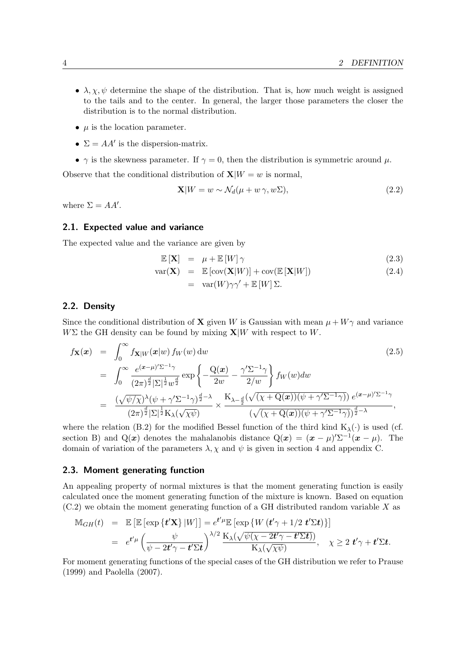- $\lambda, \chi, \psi$  determine the shape of the distribution. That is, how much weight is assigned to the tails and to the center. In general, the larger those parameters the closer the distribution is to the normal distribution.
- $\bullet$   $\mu$  is the location parameter.
- $\Sigma = AA'$  is the dispersion-matrix.
- $\gamma$  is the skewness parameter. If  $\gamma = 0$ , then the distribution is symmetric around  $\mu$ .

Observe that the conditional distribution of  $\mathbf{X}|W = w$  is normal,

<span id="page-4-3"></span>
$$
\mathbf{X}|W = w \sim \mathcal{N}_d(\mu + w \gamma, w\Sigma), \tag{2.2}
$$

where  $\Sigma = AA'$ .

#### <span id="page-4-0"></span>2.1. Expected value and variance

The expected value and the variance are given by

$$
\mathbb{E}\left[\mathbf{X}\right] = \mu + \mathbb{E}\left[W\right]\gamma \tag{2.3}
$$

$$
\begin{array}{rcl}\n\text{var}(\mathbf{X}) & = & \mathbb{E}\left[\text{cov}(\mathbf{X}|W)\right] + \text{cov}(\mathbb{E}\left[\mathbf{X}|W\right]) \\
& = & \text{var}(W) \sim \gamma' + \mathbb{E}\left[W\right] \Sigma\n\end{array} \tag{2.4}
$$

$$
= \operatorname{var}(W) \gamma \gamma + \operatorname{var}(W) \vartriangle
$$

#### <span id="page-4-1"></span>2.2. Density

Since the conditional distribution of **X** given *W* is Gaussian with mean  $\mu + W\gamma$  and variance  $W\Sigma$  the GH density can be found by mixing  $\mathbf{X}|W$  with respect to *W*.

<span id="page-4-4"></span>
$$
f_{\mathbf{X}}(\boldsymbol{x}) = \int_0^\infty f_{\mathbf{X}|W}(\boldsymbol{x}|w) f_W(w) dw
$$
\n
$$
= \int_0^\infty \frac{e^{(\boldsymbol{x}-\mu)'\Sigma^{-1}\gamma}}{(2\pi)^{\frac{d}{2}}|\Sigma|^{\frac{1}{2}}w^{\frac{d}{2}}} exp\left\{-\frac{Q(\boldsymbol{x})}{2w} - \frac{\gamma'\Sigma^{-1}\gamma}{2/w}\right\} f_W(w) dw
$$
\n
$$
= \frac{(\sqrt{\psi/\chi})^{\lambda}(\psi + \gamma'\Sigma^{-1}\gamma)^{\frac{d}{2}-\lambda}}{(2\pi)^{\frac{d}{2}}|\Sigma|^{\frac{1}{2}}K_{\lambda}(\sqrt{\chi\psi})} \times \frac{K_{\lambda-\frac{d}{2}}(\sqrt{(\chi + Q(\boldsymbol{x}))(\psi + \gamma'\Sigma^{-1}\gamma)}) e^{(\boldsymbol{x}-\mu)'\Sigma^{-1}\gamma}}{(\sqrt{(\chi + Q(\boldsymbol{x}))(\psi + \gamma'\Sigma^{-1}\gamma)})^{\frac{d}{2}-\lambda}},
$$
\n(2.5)

where the relation [\(B.2\)](#page-13-1) for the modified Bessel function of the third kind  $K_{\lambda}(\cdot)$  is used (cf. section [B\)](#page-13-0) and Q(*x*) denotes the mahalanobis distance Q(*x*) =  $(x - \mu)' \Sigma^{-1} (x - \mu)$ . The domain of variation of the parameters  $\lambda$ ,  $\chi$  and  $\psi$  is given in section [4](#page-5-2) and appendix [C.](#page-15-0)

#### <span id="page-4-2"></span>2.3. Moment generating function

An appealing property of normal mixtures is that the moment generating function is easily calculated once the moment generating function of the mixture is known. Based on equation [\(C.2\)](#page-15-2) we obtain the moment generating function of a GH distributed random variable *X* as

$$
\mathbb{M}_{GH}(t) = \mathbb{E} \left[ \mathbb{E} \left[ \exp \left\{ \mathbf{t}' \mathbf{X} \right\} |W \right] \right] = e^{\mathbf{t}' \mu} \mathbb{E} \left[ \exp \left\{ W \left( \mathbf{t}' \gamma + 1/2 \mathbf{t}' \Sigma \mathbf{t} \right) \right\} \right] \n= e^{\mathbf{t}' \mu} \left( \frac{\psi}{\psi - 2\mathbf{t}'\gamma - \mathbf{t}' \Sigma \mathbf{t}} \right)^{\lambda/2} \frac{\mathbf{K}_{\lambda}(\sqrt{\psi(\chi - 2\mathbf{t}'\gamma - \mathbf{t}' \Sigma \mathbf{t}}))}{\mathbf{K}_{\lambda}(\sqrt{\chi \psi})}, \quad \chi \ge 2 \mathbf{t}' \gamma + \mathbf{t}' \Sigma \mathbf{t}.
$$

For moment generating functions of the special cases of the GH distribution we refer to [Prause](#page-25-1) [\(1999\)](#page-25-1) and [Paolella \(2007\)](#page-25-2).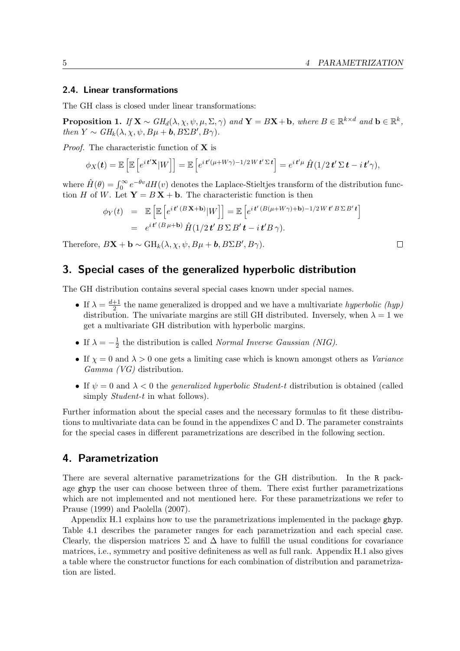#### <span id="page-5-0"></span>2.4. Linear transformations

The GH class is closed under linear transformations:

Proposition 1. *If*  $X \sim GH_d(\lambda, \chi, \psi, \mu, \Sigma, \gamma)$  and  $Y = BX + b$ *, where*  $B \in \mathbb{R}^{k \times d}$  and  $b \in \mathbb{R}^k$ *, then*  $Y \sim GH_k(\lambda, \chi, \psi, B\mu + \mathbf{b}, B\Sigma B', B\gamma)$ .

*Proof.* The characteristic function of **X** is

$$
\phi_X(\mathbf{t}) = \mathbb{E}\left[\mathbb{E}\left[e^{i\mathbf{t}'\mathbf{X}}|W\right]\right] = \mathbb{E}\left[e^{i\mathbf{t}'(\mu + W\gamma) - 1/2W\mathbf{t}'\Sigma\mathbf{t}}\right] = e^{i\mathbf{t}'\mu}\,\hat{H}(1/2\mathbf{t}'\Sigma\mathbf{t} - i\mathbf{t}'\gamma),
$$

where  $\hat{H}(\theta) = \int_0^\infty e^{-\theta v} dH(v)$  denotes the Laplace-Stieltjes transform of the distribution function *H* of *W*. Let  $Y = BX + b$ . The characteristic function is then

$$
\begin{array}{rcl} \phi_Y(t) & = & \mathbb{E}\left[\mathbb{E}\left[e^{it'(B\mathbf{X}+\mathbf{b})}|W\right]\right] = \mathbb{E}\left[e^{it'(B(\mu+W\gamma)+\mathbf{b})-1/2Wt'B\Sigma B't}\right] \\ & = & e^{it'(B\mu+\mathbf{b})}\hat{H}(1/2t'B\Sigma B't - it'B\gamma). \end{array}
$$

Therefore,  $B\mathbf{X} + \mathbf{b} \sim \mathrm{GH}_k(\lambda, \chi, \psi, B\mu + \mathbf{b}, B\Sigma B', B\gamma)$ .

### <span id="page-5-1"></span>3. Special cases of the generalized hyperbolic distribution

The GH distribution contains several special cases known under special names.

- If  $\lambda = \frac{d+1}{2}$  $\frac{+1}{2}$  the name generalized is dropped and we have a multivariate *hyperbolic (hyp)* distribution. The univariate margins are still GH distributed. Inversely, when  $\lambda = 1$  we get a multivariate GH distribution with hyperbolic margins.
- If  $\lambda = -\frac{1}{2}$  $\frac{1}{2}$  the distribution is called *Normal Inverse Gaussian (NIG)*.
- If  $\chi = 0$  and  $\lambda > 0$  one gets a limiting case which is known amongst others as *Variance Gamma (VG)* distribution.
- If *ψ* = 0 and *λ <* 0 the *generalized hyperbolic Student-t* distribution is obtained (called simply *Student-t* in what follows).

Further information about the special cases and the necessary formulas to fit these distributions to multivariate data can be found in the appendixes [C](#page-15-0) and [D.](#page-17-0) The parameter constraints for the special cases in different parametrizations are described in the following section.

### <span id="page-5-2"></span>4. Parametrization

There are several alternative parametrizations for the GH distribution. In the R package ghyp the user can choose between three of them. There exist further parametrizations which are not implemented and not mentioned here. For these parametrizations we refer to [Prause \(1999\)](#page-25-1) and [Paolella \(2007\)](#page-25-2).

Appendix [H.1](#page-20-2) explains how to use the parametrizations implemented in the package ghyp. Table [4.1](#page-6-2) describes the parameter ranges for each parametrization and each special case. Clearly, the dispersion matrices  $\Sigma$  and  $\Delta$  have to fulfill the usual conditions for covariance matrices, i.e., symmetry and positive definiteness as well as full rank. Appendix [H.1](#page-20-2) also gives a table where the constructor functions for each combination of distribution and parametrization are listed.

 $\Box$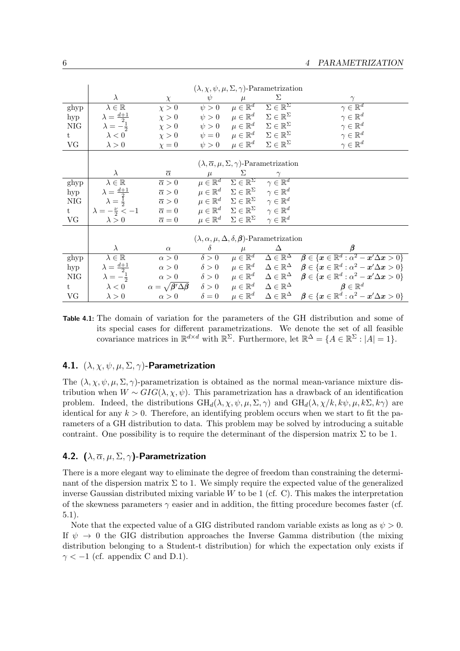|      | $(\lambda, \chi, \psi, \mu, \Sigma, \gamma)$ -Parametrization        |                                       |              |                                                                              |                                                                  |                                                                                                                                                                                   |  |
|------|----------------------------------------------------------------------|---------------------------------------|--------------|------------------------------------------------------------------------------|------------------------------------------------------------------|-----------------------------------------------------------------------------------------------------------------------------------------------------------------------------------|--|
|      | $\lambda$                                                            | $\chi$                                | $\psi$       |                                                                              | Σ                                                                | $\gamma$                                                                                                                                                                          |  |
| ghyp | $\lambda \in \mathbb{R}$                                             | $\chi > 0$                            | $\psi > 0$   | $\mu \in \mathbb{R}^d$                                                       | $\Sigma \in \mathbb{R}^{\Sigma}$                                 | $\gamma \in \overline{\mathbb{R}^d}$                                                                                                                                              |  |
| hyp  | $\lambda = \frac{d+1}{2}$                                            | $\chi > 0$                            | $\psi > 0$   | $\mu \in \mathbb{R}^d$                                                       | $\Sigma \in \mathbb{R}^{\Sigma}$                                 | $\gamma \in \mathbb{R}^d$                                                                                                                                                         |  |
| NIG  | $\lambda = -\frac{1}{2}$                                             | $\chi > 0$                            |              | $\psi > 0 \qquad \mu \in \mathbb{R}^d \qquad \Sigma \in \mathbb{R}^{\Sigma}$ |                                                                  | $\gamma \in \mathbb{R}^d$                                                                                                                                                         |  |
| t    | $\lambda < 0$                                                        | $\chi > 0$                            |              | $\psi = 0 \qquad \mu \in \mathbb{R}^d \qquad \Sigma \in \mathbb{R}^{\Sigma}$ |                                                                  | $\gamma \in \mathbb{R}^d$                                                                                                                                                         |  |
| VG   | $\lambda > 0$                                                        | $\chi = 0$                            | $\psi > 0$   | $\mu \in \mathbb{R}^d$                                                       | $\Sigma \in \mathbb{R}^{\Sigma}$                                 | $\gamma \in \mathbb{R}^d$                                                                                                                                                         |  |
|      |                                                                      |                                       |              |                                                                              |                                                                  |                                                                                                                                                                                   |  |
|      | $(\lambda, \overline{\alpha}, \mu, \Sigma, \gamma)$ -Parametrization |                                       |              |                                                                              |                                                                  |                                                                                                                                                                                   |  |
|      | $\lambda$                                                            | $\overline{\alpha}$                   | $\mu$        | Σ                                                                            | $\gamma$                                                         |                                                                                                                                                                                   |  |
| ghyp | $\lambda \in \overline{\mathbb{R}}$                                  | $\overline{\alpha} > 0$               |              | $\mu \in \mathbb{R}^d$ $\Sigma \in \mathbb{R}^{\Sigma}$                      | $\gamma \in \mathbb{R}^d$                                        |                                                                                                                                                                                   |  |
| hyp  | $\lambda = \frac{d+1}{2}$                                            | $\overline{\alpha} > 0$               |              | $\mu \in \mathbb{R}^d$ $\Sigma \in \mathbb{R}^{\Sigma}$                      | $\gamma \in \mathbb{R}^d$                                        |                                                                                                                                                                                   |  |
| NIG  | $\lambda = \frac{1}{2}$                                              | $\overline{\alpha} > 0$               |              | $\mu \in \mathbb{R}^d$ $\Sigma \in \mathbb{R}^{\Sigma}$                      | $\gamma \in \mathbb{R}^d$                                        |                                                                                                                                                                                   |  |
| t    | $\lambda = -\frac{\nu}{2} < -1$ $\overline{\alpha} = 0$              |                                       |              | $\mu \in \mathbb{R}^d$ $\Sigma \in \mathbb{R}^{\Sigma}$                      | $\gamma \in \mathbb{R}^d$                                        |                                                                                                                                                                                   |  |
| VG   | $\lambda > 0$                                                        | $\overline{\alpha} = 0$               |              | $\mu \in \mathbb{R}^d$ $\Sigma \in \mathbb{R}^{\Sigma}$                      | $\gamma \in \mathbb{R}^d$                                        |                                                                                                                                                                                   |  |
|      |                                                                      |                                       |              |                                                                              |                                                                  |                                                                                                                                                                                   |  |
|      |                                                                      |                                       |              |                                                                              | $(\lambda, \alpha, \mu, \Delta, \delta, \beta)$ -Parametrization |                                                                                                                                                                                   |  |
|      | $\lambda$                                                            | $\alpha$                              | $\delta$     | $\mu$                                                                        | Δ                                                                |                                                                                                                                                                                   |  |
| ghyp | $\lambda \in \mathbb{R}$                                             | $\alpha > 0$                          | $\delta > 0$ |                                                                              |                                                                  | $\mu \in \mathbb{R}^d$ $\Delta \in \mathbb{R}^{\Delta}$ $\beta \in \{x \in \mathbb{R}^d : \alpha^2 - x'\Delta x > 0\}$                                                            |  |
| hyp  | $\lambda = \frac{d+1}{2}$                                            | $\alpha > 0$                          | $\delta > 0$ |                                                                              |                                                                  | $\mu \in \mathbb{R}^d \quad \Delta \in \mathbb{R}^\Delta \quad \boldsymbol{\beta} \in \{\boldsymbol{x} \in \mathbb{R}^d : \alpha^2 - \boldsymbol{x}' \Delta \boldsymbol{x} > 0\}$ |  |
| NIG  | $\lambda = -\frac{1}{2}$                                             | $\alpha > 0$                          |              |                                                                              |                                                                  | $\delta > 0$ $\mu \in \mathbb{R}^d$ $\Delta \in \mathbb{R}^{\Delta}$ $\beta \in \{x \in \mathbb{R}^d : \alpha^2 - x' \Delta x > 0\}$                                              |  |
| t    | $\lambda < 0$                                                        | $\alpha = \sqrt{\beta' \Delta \beta}$ |              | $\delta > 0$ $\mu \in \mathbb{R}^d$ $\Delta \in \mathbb{R}^{\Delta}$         |                                                                  | $\boldsymbol{\beta} \in \mathbb{R}^d$                                                                                                                                             |  |
| VG   | $\lambda > 0$                                                        | $\alpha > 0$                          | $\delta = 0$ |                                                                              |                                                                  | $\mu \in \mathbb{R}^d \quad \Delta \in \mathbb{R}^\Delta \quad \boldsymbol{\beta} \in \{\boldsymbol{x} \in \mathbb{R}^d : \alpha^2 - \boldsymbol{x}' \Delta \boldsymbol{x} > 0\}$ |  |

<span id="page-6-2"></span>Table 4.1: The domain of variation for the parameters of the GH distribution and some of its special cases for different parametrizations. We denote the set of all feasible covariance matrices in  $\mathbb{R}^{d \times d}$  with  $\mathbb{R}^{\Sigma}$ . Furthermore, let  $\mathbb{R}^{\Delta} = \{A \in \mathbb{R}^{\Sigma} : |A| = 1\}$ .

### <span id="page-6-0"></span>4.1. (*λ, χ, ψ, µ,* Σ*, γ*)-Parametrization

The  $(\lambda, \chi, \psi, \mu, \Sigma, \gamma)$ -parametrization is obtained as the normal mean-variance mixture distribution when  $W \sim GIG(\lambda, \chi, \psi)$ . This parametrization has a drawback of an identification problem. Indeed, the distributions  $GH_d(\lambda, \chi, \psi, \mu, \Sigma, \gamma)$  and  $GH_d(\lambda, \chi/k, k\psi, \mu, k\Sigma, k\gamma)$  are identical for any  $k > 0$ . Therefore, an identifying problem occurs when we start to fit the parameters of a GH distribution to data. This problem may be solved by introducing a suitable contraint. One possibility is to require the determinant of the dispersion matrix  $\Sigma$  to be 1.

### <span id="page-6-1"></span>4.2. (*λ, α, µ,* Σ*, γ*)-Parametrization

There is a more elegant way to eliminate the degree of freedom than constraining the determinant of the dispersion matrix  $\Sigma$  to 1. We simply require the expected value of the generalized inverse Gaussian distributed mixing variable  $W$  to be 1 (cf. [C\)](#page-15-0). This makes the interpretation of the skewness parameters  $\gamma$  easier and in addition, the fitting procedure becomes faster (cf. [5.1\)](#page-9-0).

Note that the expected value of a GIG distributed random variable exists as long as  $\psi > 0$ . If  $\psi \to 0$  the GIG distribution approaches the Inverse Gamma distribution (the mixing distribution belonging to a Student-t distribution) for which the expectation only exists if  $\gamma$  < -1 (cf. appendix [C](#page-15-0) and [D.1\)](#page-17-1).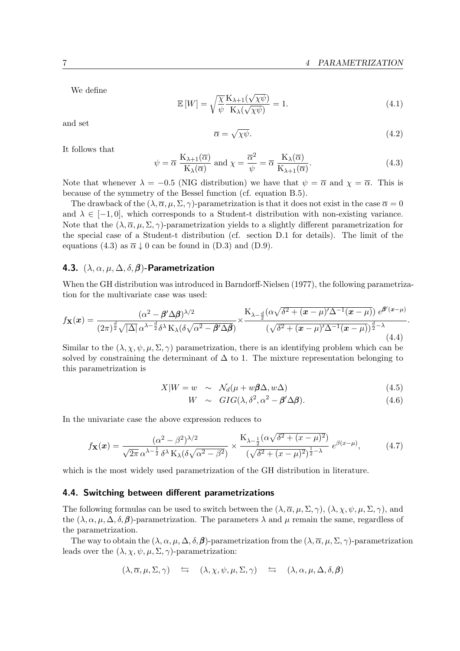We define

$$
\mathbb{E}\left[W\right] = \sqrt{\frac{\chi}{\psi}} \frac{\mathcal{K}_{\lambda+1}(\sqrt{\chi\psi})}{\mathcal{K}_{\lambda}(\sqrt{\chi\psi})} = 1. \tag{4.1}
$$

and set

$$
\overline{\alpha} = \sqrt{\chi \psi}.\tag{4.2}
$$

It follows that

<span id="page-7-2"></span>
$$
\psi = \overline{\alpha} \frac{K_{\lambda+1}(\overline{\alpha})}{K_{\lambda}(\overline{\alpha})} \text{ and } \chi = \frac{\overline{\alpha}^2}{\psi} = \overline{\alpha} \frac{K_{\lambda}(\overline{\alpha})}{K_{\lambda+1}(\overline{\alpha})}. \tag{4.3}
$$

Note that whenever  $\lambda = -0.5$  (NIG distribution) we have that  $\psi = \overline{\alpha}$  and  $\chi = \overline{\alpha}$ . This is because of the symmetry of the Bessel function (cf. equation [B.5\)](#page-13-2).

The drawback of the  $(\lambda, \overline{\alpha}, \mu, \Sigma, \gamma)$ -parametrization is that it does not exist in the case  $\overline{\alpha} = 0$ and  $\lambda \in [-1, 0]$ , which corresponds to a Student-t distribution with non-existing variance. Note that the  $(\lambda, \overline{\alpha}, \mu, \Sigma, \gamma)$ -parametrization yields to a slightly different parametrization for the special case of a Student-t distribution (cf. section [D.1](#page-17-1) for details). The limit of the equations [\(4.3\)](#page-7-2) as  $\bar{\alpha} \downarrow 0$  can be found in [\(D.3\)](#page-17-2) and [\(D.9\)](#page-18-3).

### <span id="page-7-0"></span>4.3. (*λ, α, µ,* ∆*, δ,β*)-Parametrization

When the GH distribution was introduced in [Barndorff-Nielsen \(1977\)](#page-24-0), the following parametrization for the multivariate case was used:

$$
f_{\mathbf{X}}(\boldsymbol{x}) = \frac{(\alpha^2 - \boldsymbol{\beta}' \Delta \boldsymbol{\beta})^{\lambda/2}}{(2\pi)^{\frac{d}{2}} \sqrt{|\Delta|} \alpha^{\lambda - \frac{d}{2}} \delta^{\lambda} \mathbf{K}_{\lambda} (\delta \sqrt{\alpha^2 - \boldsymbol{\beta}' \Delta \boldsymbol{\beta}})} \times \frac{\mathbf{K}_{\lambda - \frac{d}{2}} (\alpha \sqrt{\delta^2 + (\boldsymbol{x} - \mu)'\Delta^{-1}(\boldsymbol{x} - \mu)}) e^{\boldsymbol{\beta}'(\boldsymbol{x} - \mu)}}{(\sqrt{\delta^2 + (\boldsymbol{x} - \mu)'\Delta^{-1}(\boldsymbol{x} - \mu)})^{\frac{d}{2} - \lambda}}.
$$
\n(4.4)

Similar to the  $(\lambda, \chi, \psi, \mu, \Sigma, \gamma)$  parametrization, there is an identifying problem which can be solved by constraining the determinant of  $\Delta$  to 1. The mixture representation belonging to this parametrization is

$$
X|W = w \sim \mathcal{N}_d(\mu + w\beta\Delta, w\Delta) \tag{4.5}
$$

$$
W \sim GIG(\lambda, \delta^2, \alpha^2 - \beta' \Delta \beta). \tag{4.6}
$$

In the univariate case the above expression reduces to

$$
f_{\mathbf{X}}(\boldsymbol{x}) = \frac{(\alpha^2 - \beta^2)^{\lambda/2}}{\sqrt{2\pi} \alpha^{\lambda - \frac{1}{2}} \delta^{\lambda} \mathcal{K}_{\lambda} (\delta \sqrt{\alpha^2 - \beta^2})} \times \frac{\mathcal{K}_{\lambda - \frac{1}{2}}(\alpha \sqrt{\delta^2 + (x - \mu)^2})}{(\sqrt{\delta^2 + (x - \mu)^2})^{\frac{1}{2} - \lambda}} e^{\beta(x - \mu)}, \tag{4.7}
$$

which is the most widely used parametrization of the GH distribution in literature.

#### <span id="page-7-1"></span>4.4. Switching between different parametrizations

The following formulas can be used to switch between the  $(\lambda, \overline{\alpha}, \mu, \Sigma, \gamma)$ ,  $(\lambda, \chi, \psi, \mu, \Sigma, \gamma)$ , and the  $(\lambda, \alpha, \mu, \Delta, \delta, \beta)$ -parametrization. The parameters  $\lambda$  and  $\mu$  remain the same, regardless of the parametrization.

The way to obtain the  $(\lambda, \alpha, \mu, \Delta, \delta, \beta)$ -parametrization from the  $(\lambda, \overline{\alpha}, \mu, \Sigma, \gamma)$ -parametrization leads over the  $(\lambda, \chi, \psi, \mu, \Sigma, \gamma)$ -parametrization:

$$
(\lambda, \overline{\alpha}, \mu, \Sigma, \gamma) \quad \Leftrightarrow \quad (\lambda, \chi, \psi, \mu, \Sigma, \gamma) \quad \Leftrightarrow \quad (\lambda, \alpha, \mu, \Delta, \delta, \beta)
$$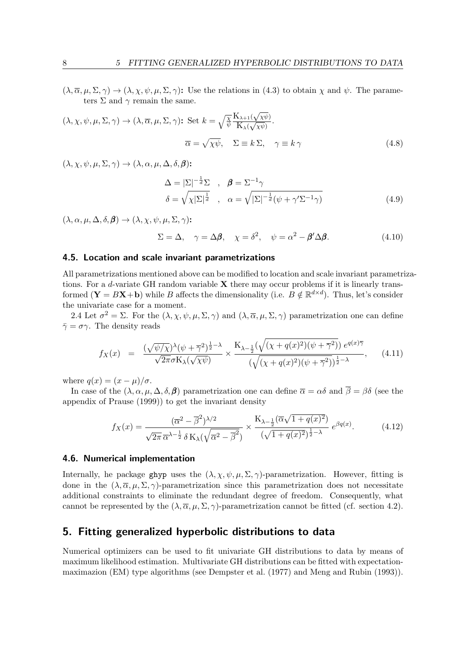$(\lambda, \overline{\alpha}, \mu, \Sigma, \gamma) \rightarrow (\lambda, \chi, \psi, \mu, \Sigma, \gamma)$ : Use the relations in [\(4.3\)](#page-7-2) to obtain  $\chi$  and  $\psi$ . The parameters  $\Sigma$  and  $\gamma$  remain the same.

$$
(\lambda, \chi, \psi, \mu, \Sigma, \gamma) \to (\lambda, \overline{\alpha}, \mu, \Sigma, \gamma): \text{Set } k = \sqrt{\frac{\chi}{\psi}} \frac{K_{\lambda+1}(\sqrt{\chi\psi})}{K_{\lambda}(\sqrt{\chi\psi})}.
$$

$$
\overline{\alpha} = \sqrt{\chi\psi}, \quad \Sigma \equiv k \Sigma, \quad \gamma \equiv k \gamma
$$
(4.8)

 $(\lambda, \chi, \psi, \mu, \Sigma, \gamma) \rightarrow (\lambda, \alpha, \mu, \Delta, \delta, \beta)$ :

$$
\Delta = |\Sigma|^{-\frac{1}{d}} \Sigma , \quad \beta = \Sigma^{-1} \gamma
$$
  

$$
\delta = \sqrt{\chi |\Sigma|^{\frac{1}{d}}}, \quad \alpha = \sqrt{|\Sigma|^{-\frac{1}{d}} (\psi + \gamma' \Sigma^{-1} \gamma)}
$$
(4.9)

 $(\lambda, \alpha, \mu, \Delta, \delta, \beta) \rightarrow (\lambda, \chi, \psi, \mu, \Sigma, \gamma)$ :

$$
\Sigma = \Delta, \quad \gamma = \Delta \beta, \quad \chi = \delta^2, \quad \psi = \alpha^2 - \beta' \Delta \beta. \tag{4.10}
$$

#### <span id="page-8-0"></span>4.5. Location and scale invariant parametrizations

All parametrizations mentioned above can be modified to location and scale invariant parametrizations. For a *d*-variate GH random variable **X** there may occur problems if it is linearly transformed  $(Y = BX + b)$  while *B* affects the dimensionality (i.e.  $B \notin \mathbb{R}^{d \times d}$ ). Thus, let's consider the univariate case for a moment.

[2.4](#page-5-0) Let  $\sigma^2 = \Sigma$ . For the  $(\lambda, \chi, \psi, \mu, \Sigma, \gamma)$  and  $(\lambda, \overline{\alpha}, \mu, \Sigma, \gamma)$  parametrization one can define  $\bar{\gamma} = \sigma \gamma$ . The density reads

$$
f_X(x) = \frac{\left(\sqrt{\psi/\chi}\right)^{\lambda}(\psi+\overline{\gamma}^2)^{\frac{1}{2}-\lambda}}{\sqrt{2\pi}\sigma K_{\lambda}(\sqrt{\chi\psi})} \times \frac{K_{\lambda-\frac{1}{2}}(\sqrt{(\chi+q(x)^2)(\psi+\overline{\gamma}^2)})e^{q(x)\overline{\gamma}}}{\left(\sqrt{(\chi+q(x)^2)(\psi+\overline{\gamma}^2)}\right)^{\frac{1}{2}-\lambda}},\qquad(4.11)
$$

where  $q(x) = (x - \mu)/\sigma$ .

In case of the  $(\lambda, \alpha, \mu, \Delta, \delta, \beta)$  parametrization one can define  $\overline{\alpha} = \alpha \delta$  and  $\overline{\beta} = \beta \delta$  (see the appendix of [Prause \(1999\)](#page-25-1)) to get the invariant density

$$
f_X(x) = \frac{(\overline{\alpha}^2 - \overline{\beta}^2)^{\lambda/2}}{\sqrt{2\pi} \,\overline{\alpha}^{\lambda - \frac{1}{2}} \,\delta K_\lambda(\sqrt{\overline{\alpha}^2 - \overline{\beta}^2})} \times \frac{K_{\lambda - \frac{1}{2}}(\overline{\alpha}\sqrt{1 + q(x)^2})}{(\sqrt{1 + q(x)^2})^{\frac{1}{2} - \lambda}} \, e^{\beta q(x)}.
$$
 (4.12)

#### <span id="page-8-1"></span>4.6. Numerical implementation

Internally, he package ghyp uses the  $(\lambda, \chi, \psi, \mu, \Sigma, \gamma)$ -parametrization. However, fitting is done in the  $(\lambda, \overline{\alpha}, \mu, \Sigma, \gamma)$ -parametrization since this parametrization does not necessitate additional constraints to eliminate the redundant degree of freedom. Consequently, what cannot be represented by the  $(\lambda, \overline{\alpha}, \mu, \Sigma, \gamma)$ -parametrization cannot be fitted (cf. section [4.2\)](#page-6-1).

### <span id="page-8-2"></span>5. Fitting generalized hyperbolic distributions to data

Numerical optimizers can be used to fit univariate GH distributions to data by means of maximum likelihood estimation. Multivariate GH distributions can be fitted with expectationmaximazion (EM) type algorithms (see [Dempster et al. \(1977\)](#page-25-4) and [Meng and Rubin \(1993\)](#page-25-5)).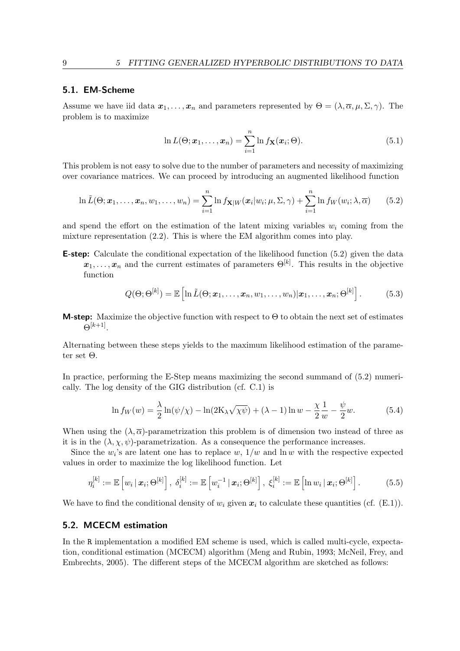#### <span id="page-9-0"></span>5.1. EM-Scheme

Assume we have iid data  $x_1, \ldots, x_n$  and parameters represented by  $\Theta = (\lambda, \overline{\alpha}, \mu, \Sigma, \gamma)$ . The problem is to maximize

$$
\ln L(\Theta; \boldsymbol{x}_1, \dots, \boldsymbol{x}_n) = \sum_{i=1}^n \ln f_{\mathbf{X}}(\boldsymbol{x}_i; \Theta).
$$
 (5.1)

This problem is not easy to solve due to the number of parameters and necessity of maximizing over covariance matrices. We can proceed by introducing an augmented likelihood function

<span id="page-9-2"></span>
$$
\ln \tilde{L}(\Theta; \boldsymbol{x}_1, \dots, \boldsymbol{x}_n, w_1, \dots, w_n) = \sum_{i=1}^n \ln f_{\mathbf{X}|W}(\boldsymbol{x}_i|w_i; \mu, \Sigma, \gamma) + \sum_{i=1}^n \ln f_W(w_i; \lambda, \overline{\alpha}) \qquad (5.2)
$$

and spend the effort on the estimation of the latent mixing variables  $w_i$  coming from the mixture representation [\(2.2\)](#page-4-3). This is where the EM algorithm comes into play.

**E-step:** Calculate the conditional expectation of the likelihood function [\(5.2\)](#page-9-2) given the data  $x_1, \ldots, x_n$  and the current estimates of parameters  $\Theta^{[k]}$ . This results in the objective function

$$
Q(\Theta; \Theta^{[k]}) = \mathbb{E}\left[\ln \tilde{L}(\Theta; \boldsymbol{x}_1, \dots, \boldsymbol{x}_n, w_1, \dots, w_n)|\boldsymbol{x}_1, \dots, \boldsymbol{x}_n; \Theta^{[k]}\right].
$$
 (5.3)

**M-step:** Maximize the objective function with respect to  $\Theta$  to obtain the next set of estimates  $\Theta^{[k+1]}$ .

Alternating between these steps yields to the maximum likelihood estimation of the parameter set Θ.

In practice, performing the E-Step means maximizing the second summand of [\(5.2\)](#page-9-2) numerically. The log density of the GIG distribution (cf. [C.1\)](#page-15-3) is

<span id="page-9-4"></span>
$$
\ln f_W(w) = \frac{\lambda}{2} \ln(\psi/\chi) - \ln(2\mathcal{K}\lambda\sqrt{\chi\psi}) + (\lambda - 1) \ln w - \frac{\chi}{2} \frac{1}{w} - \frac{\psi}{2} w.
$$
 (5.4)

When using the  $(\lambda, \overline{\alpha})$ -parametrization this problem is of dimension two instead of three as it is in the  $(\lambda, \chi, \psi)$ -parametrization. As a consequence the performance increases.

Since the  $w_i$ 's are latent one has to replace  $w$ ,  $1/w$  and  $\ln w$  with the respective expected values in order to maximize the log likelihood function. Let

<span id="page-9-3"></span>
$$
\eta_i^{[k]} := \mathbb{E}\left[w_i \,|\, \boldsymbol{x}_i; \Theta^{[k]}\right], \; \delta_i^{[k]} := \mathbb{E}\left[w_i^{-1} \,|\, \boldsymbol{x}_i; \Theta^{[k]}\right], \; \xi_i^{[k]} := \mathbb{E}\left[\ln w_i \,|\, \boldsymbol{x}_i; \Theta^{[k]}\right]. \tag{5.5}
$$

We have to find the conditional density of  $w_i$  given  $x_i$  to calculate these quantities (cf. [\(E.1\)](#page-18-4)).

#### <span id="page-9-1"></span>5.2. MCECM estimation

In the R implementation a modified EM scheme is used, which is called multi-cycle, expectation, conditional estimation (MCECM) algorithm [\(Meng and Rubin, 1993;](#page-25-5) [McNeil, Frey, and](#page-25-3) [Embrechts, 2005\)](#page-25-3). The different steps of the MCECM algorithm are sketched as follows: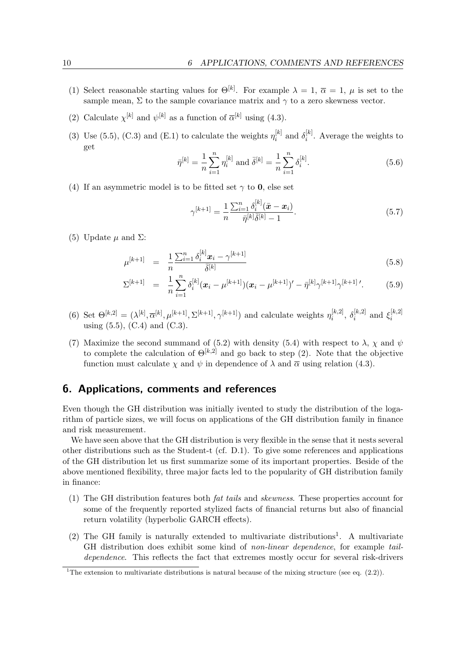- (1) Select reasonable starting values for  $\Theta^{[k]}$ . For example  $\lambda = 1$ ,  $\overline{\alpha} = 1$ ,  $\mu$  is set to the sample mean,  $\Sigma$  to the sample covariance matrix and  $\gamma$  to a zero skewness vector.
- (2) Calculate  $\chi^{[k]}$  and  $\psi^{[k]}$  as a function of  $\overline{\alpha}^{[k]}$  using [\(4.3\)](#page-7-2).
- (3) Use [\(5.5\)](#page-9-3), [\(C.3\)](#page-15-4) and [\(E.1\)](#page-18-4) to calculate the weights  $\eta_i^{[k]}$  $\delta_i^{[k]}$  and  $\delta_i^{[k]}$  $i^{k}$ . Average the weights to get

$$
\bar{\eta}^{[k]} = \frac{1}{n} \sum_{i=1}^{n} \eta_i^{[k]} \text{ and } \bar{\delta}^{[k]} = \frac{1}{n} \sum_{i=1}^{n} \delta_i^{[k]}.
$$
 (5.6)

(4) If an asymmetric model is to be fitted set  $\gamma$  to **0**, else set

$$
\gamma^{[k+1]} = \frac{1}{n} \frac{\sum_{i=1}^{n} \delta_i^{[k]} (\bar{x} - x_i)}{\bar{\eta}^{[k]} \bar{\delta}^{[k]} - 1}.
$$
\n(5.7)

(5) Update  $\mu$  and  $\Sigma$ :

$$
\mu^{[k+1]} = \frac{1}{n} \frac{\sum_{i=1}^{n} \delta_i^{[k]} \mathbf{x}_i - \gamma^{[k+1]}}{\bar{\delta}^{[k]}}
$$
\n(5.8)

$$
\Sigma^{[k+1]} = \frac{1}{n} \sum_{i=1}^{n} \delta_i^{[k]} (\boldsymbol{x}_i - \mu^{[k+1]})(\boldsymbol{x}_i - \mu^{[k+1]})' - \bar{\eta}^{[k]} \gamma^{[k+1]} \gamma^{[k+1]'}.
$$
 (5.9)

- (6) Set  $\Theta^{[k,2]} = (\lambda^{[k]}, \overline{\alpha}^{[k]}, \mu^{[k+1]}, \Sigma^{[k+1]}, \gamma^{[k+1]})$  and calculate weights  $\eta_i^{[k,2]}$  $\delta_i^{[k,2]}, \ \delta_i^{[k,2]}$  $\mathbf{z}_i^{[k,2]}$  and  $\mathbf{\xi}_i^{[k,2]}$ *i* using  $(5.5)$ ,  $(C.4)$  and  $(C.3)$ .
- (7) Maximize the second summand of [\(5.2\)](#page-9-2) with density [\(5.4\)](#page-9-4) with respect to  $\lambda$ ,  $\chi$  and  $\psi$ to complete the calculation of  $\Theta^{[k,2]}$  and go back to step (2). Note that the objective function must calculate  $\chi$  and  $\psi$  in dependence of  $\lambda$  and  $\overline{\alpha}$  using relation [\(4.3\)](#page-7-2).

### <span id="page-10-0"></span>6. Applications, comments and references

Even though the GH distribution was initially ivented to study the distribution of the logarithm of particle sizes, we will focus on applications of the GH distribution family in finance and risk measurement.

We have seen above that the GH distribution is very flexible in the sense that it nests several other distributions such as the Student-t (cf. [D.1\)](#page-17-1). To give some references and applications of the GH distribution let us first summarize some of its important properties. Beside of the above mentioned flexibility, three major facts led to the popularity of GH distribution family in finance:

- (1) The GH distribution features both *fat tails* and *skewness*. These properties account for some of the frequently reported stylized facts of financial returns but also of financial return volatility (hyperbolic GARCH effects).
- $(2)$  The GH family is naturally extended to multivariate distributions<sup>[1](#page-10-1)</sup>. A multivariate GH distribution does exhibit some kind of *non-linear dependence*, for example *taildependence*. This reflects the fact that extremes mostly occur for several risk-drivers

<span id="page-10-1"></span><sup>&</sup>lt;sup>1</sup>The extension to multivariate distributions is natural because of the mixing structure (see eq.  $(2.2)$ ).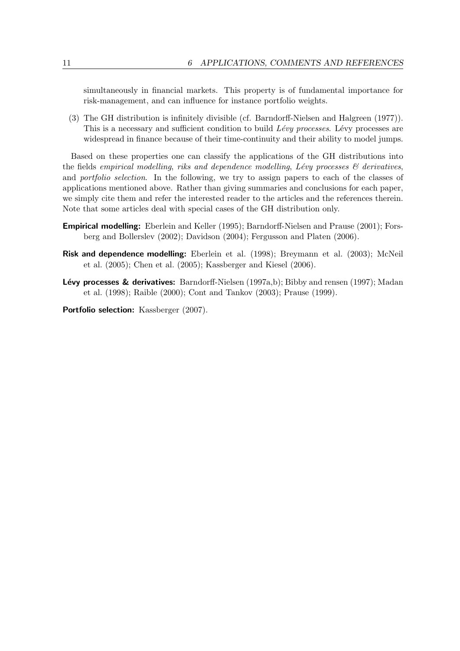simultaneously in financial markets. This property is of fundamental importance for risk-management, and can influence for instance portfolio weights.

(3) The GH distribution is infinitely divisible (cf. [Barndorff-Nielsen and Halgreen \(1977\)](#page-24-1)). This is a necessary and sufficient condition to build *Lévy processes*. Lévy processes are widespread in finance because of their time-continuity and their ability to model jumps.

Based on these properties one can classify the applications of the GH distributions into the fields *empirical modelling*, *riks and dependence modelling*, *L´evy processes & derivatives*, and *portfolio selection*. In the following, we try to assign papers to each of the classes of applications mentioned above. Rather than giving summaries and conclusions for each paper, we simply cite them and refer the interested reader to the articles and the references therein. Note that some articles deal with special cases of the GH distribution only.

- Empirical modelling: [Eberlein and Keller \(1995\)](#page-25-6); [Barndorff-Nielsen and Prause \(2001\)](#page-24-2); [Fors](#page-25-7)[berg and Bollerslev \(2002\)](#page-25-7); [Davidson \(2004\)](#page-25-8); [Fergusson and Platen \(2006\)](#page-25-9).
- Risk and dependence modelling: [Eberlein et al. \(1998\)](#page-25-10); [Breymann et al. \(2003\)](#page-24-3); [McNeil](#page-25-3) [et al. \(2005\)](#page-25-3); [Chen et al. \(2005\)](#page-24-4); [Kassberger and Kiesel \(2006\)](#page-25-11).
- **Lévy processes & derivatives:** [Barndorff-Nielsen \(1997a](#page-24-5)[,b\)](#page-24-6); [Bibby and rensen \(1997\)](#page-24-7); [Madan](#page-25-12) [et al. \(1998\)](#page-25-12); [Raible \(2000\)](#page-25-13); [Cont and Tankov \(2003\)](#page-25-14); [Prause \(1999\)](#page-25-1).

Portfolio selection: [Kassberger \(2007\)](#page-25-15).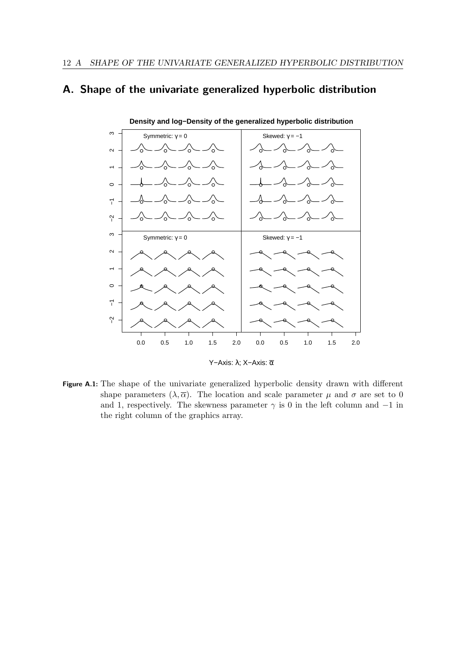## <span id="page-12-0"></span>A. Shape of the univariate generalized hyperbolic distribution



Y−Axis: λ; X−Axis: α

Figure A.1: The shape of the univariate generalized hyperbolic density drawn with different shape parameters  $(\lambda, \overline{\alpha})$ . The location and scale parameter  $\mu$  and  $\sigma$  are set to 0 and 1, respectively. The skewness parameter  $\gamma$  is 0 in the left column and  $-1$  in the right column of the graphics array.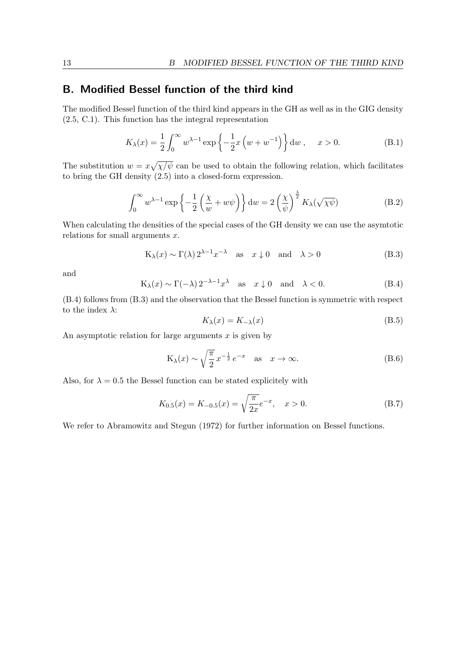### <span id="page-13-0"></span>B. Modified Bessel function of the third kind

The modified Bessel function of the third kind appears in the GH as well as in the GIG density [\(2.5,](#page-4-4) [C.1\)](#page-15-3). This function has the integral representation

$$
K_{\lambda}(x) = \frac{1}{2} \int_0^{\infty} w^{\lambda - 1} \exp\left\{-\frac{1}{2}x \left(w + w^{-1}\right)\right\} dw, \quad x > 0.
$$
 (B.1)

The substitution  $w = x\sqrt{\chi/\psi}$  can be used to obtain the following relation, which facilitates to bring the GH density [\(2.5\)](#page-4-4) into a closed-form expression.

<span id="page-13-1"></span>
$$
\int_0^\infty w^{\lambda - 1} \exp\left\{-\frac{1}{2} \left(\frac{\chi}{w} + w\psi\right)\right\} dw = 2 \left(\frac{\chi}{\psi}\right)^{\frac{\lambda}{2}} K_\lambda(\sqrt{\chi\psi})
$$
(B.2)

When calculating the densities of the special cases of the GH density we can use the asymtotic relations for small arguments *x*.

<span id="page-13-4"></span>
$$
K_{\lambda}(x) \sim \Gamma(\lambda) 2^{\lambda - 1} x^{-\lambda} \quad \text{as} \quad x \downarrow 0 \quad \text{and} \quad \lambda > 0 \tag{B.3}
$$

and

<span id="page-13-3"></span>
$$
K_{\lambda}(x) \sim \Gamma(-\lambda) 2^{-\lambda - 1} x^{\lambda} \quad \text{as} \quad x \downarrow 0 \quad \text{and} \quad \lambda < 0. \tag{B.4}
$$

[\(B.4\)](#page-13-3) follows from [\(B.3\)](#page-13-4) and the observation that the Bessel function is symmetric with respect to the index *λ*:

<span id="page-13-2"></span>
$$
K_{\lambda}(x) = K_{-\lambda}(x) \tag{B.5}
$$

An asymptotic relation for large arguments *x* is given by

<span id="page-13-5"></span>
$$
K_{\lambda}(x) \sim \sqrt{\frac{\pi}{2}} x^{-\frac{1}{2}} e^{-x} \quad \text{as} \quad x \to \infty. \tag{B.6}
$$

Also, for  $\lambda = 0.5$  the Bessel function can be stated explicitely with

$$
K_{0.5}(x) = K_{-0.5}(x) = \sqrt{\frac{\pi}{2x}}e^{-x}, \quad x > 0.
$$
 (B.7)

We refer to [Abramowitz and Stegun \(1972\)](#page-24-8) for further information on Bessel functions.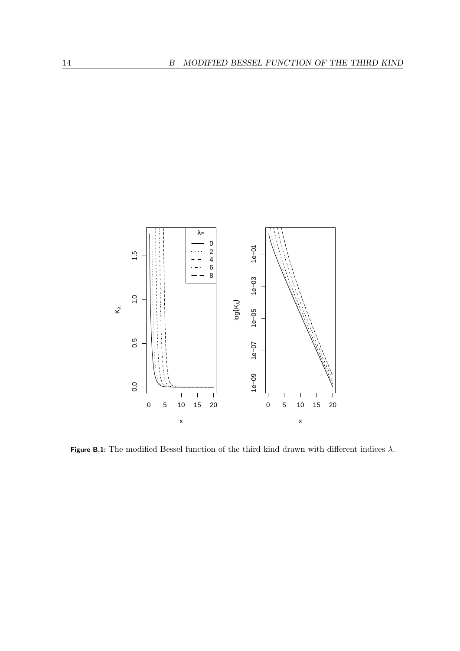

Figure B.1: The modified Bessel function of the third kind drawn with different indices  $\lambda$ .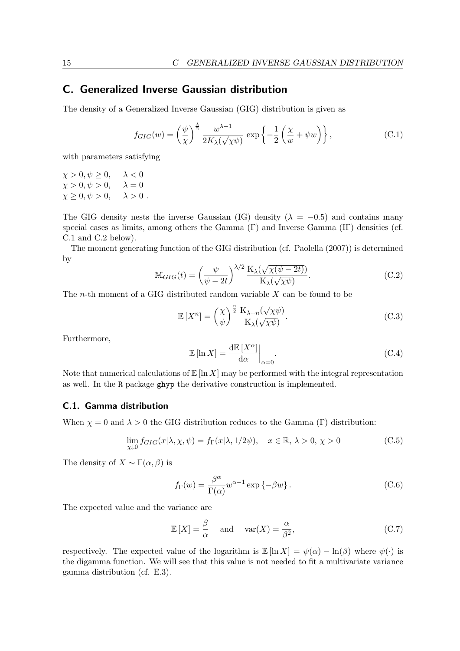### <span id="page-15-0"></span>C. Generalized Inverse Gaussian distribution

The density of a Generalized Inverse Gaussian (GIG) distribution is given as

<span id="page-15-3"></span>
$$
f_{GIG}(w) = \left(\frac{\psi}{\chi}\right)^{\frac{\lambda}{2}} \frac{w^{\lambda - 1}}{2K_{\lambda}(\sqrt{\chi\psi})} \exp\left\{-\frac{1}{2}\left(\frac{\chi}{w} + \psi w\right)\right\},\tag{C.1}
$$

with parameters satisfying

 $\chi > 0, \psi \ge 0, \quad \lambda < 0$ <br> $\chi > 0, \psi > 0, \quad \lambda = 0$  $\chi > 0, \psi > 0,$  $\chi \geq 0, \psi > 0, \quad \lambda > 0.$ 

The GIG density nests the inverse Gaussian (IG) density ( $\lambda = -0.5$ ) and contains many special cases as limits, among others the Gamma  $(\Gamma)$  and Inverse Gamma  $(\Gamma)$  densities (cf. [C.1](#page-15-1) and [C.2](#page-16-0) below).

The moment generating function of the GIG distribution (cf. [Paolella](#page-25-2) [\(2007\)](#page-25-2)) is determined by

<span id="page-15-2"></span>
$$
\mathbb{M}_{GIG}(t) = \left(\frac{\psi}{\psi - 2t}\right)^{\lambda/2} \frac{\mathcal{K}_{\lambda}(\sqrt{\chi(\psi - 2t)})}{\mathcal{K}_{\lambda}(\sqrt{\chi\psi})}.
$$
 (C.2)

The *n*-th moment of a GIG distributed random variable *X* can be found to be

<span id="page-15-4"></span>
$$
\mathbb{E}\left[X^{n}\right] = \left(\frac{\chi}{\psi}\right)^{\frac{n}{2}} \frac{\mathcal{K}_{\lambda+n}(\sqrt{\chi\psi})}{\mathcal{K}_{\lambda}(\sqrt{\chi\psi})}.\tag{C.3}
$$

Furthermore,

<span id="page-15-5"></span>
$$
\mathbb{E}\left[\ln X\right] = \frac{\mathrm{d}\mathbb{E}\left[X^{\alpha}\right]}{\mathrm{d}\alpha}\bigg|_{\alpha=0}.\tag{C.4}
$$

Note that numerical calculations of  $\mathbb{E} [\ln X]$  may be performed with the integral representation as well. In the R package ghyp the derivative construction is implemented.

### <span id="page-15-1"></span>C.1. Gamma distribution

When  $\chi = 0$  and  $\lambda > 0$  the GIG distribution reduces to the Gamma (Γ) distribution:

$$
\lim_{\chi \downarrow 0} f_{GIG}(x|\lambda, \chi, \psi) = f_{\Gamma}(x|\lambda, 1/2\psi), \quad x \in \mathbb{R}, \lambda > 0, \chi > 0
$$
\n(C.5)

The density of  $X \sim \Gamma(\alpha, \beta)$  is

<span id="page-15-6"></span>
$$
f_{\Gamma}(w) = \frac{\beta^{\alpha}}{\Gamma(\alpha)} w^{\alpha - 1} \exp \{-\beta w\}.
$$
 (C.6)

The expected value and the variance are

$$
\mathbb{E}[X] = \frac{\beta}{\alpha} \quad \text{and} \quad \text{var}(X) = \frac{\alpha}{\beta^2},\tag{C.7}
$$

respectively. The expected value of the logarithm is  $\mathbb{E} [\ln X] = \psi(\alpha) - \ln(\beta)$  where  $\psi(\cdot)$  is the digamma function. We will see that this value is not needed to fit a multivariate variance gamma distribution (cf. [E.3\)](#page-19-1).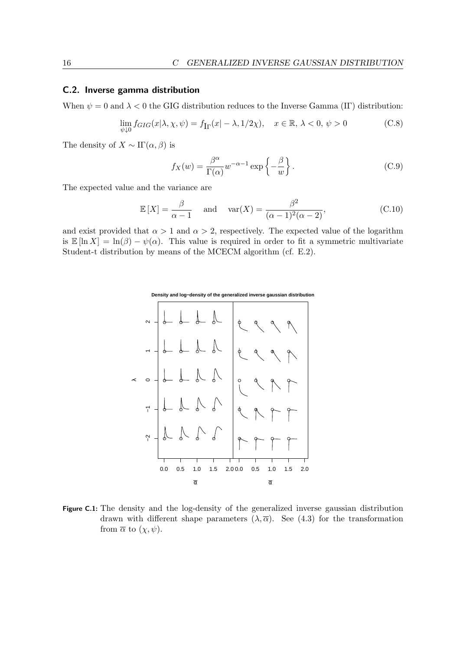#### <span id="page-16-0"></span>C.2. Inverse gamma distribution

When  $\psi = 0$  and  $\lambda < 0$  the GIG distribution reduces to the Inverse Gamma (IF) distribution:

$$
\lim_{\psi \downarrow 0} f_{GIG}(x|\lambda, \chi, \psi) = f_{\text{Ir}}(x| - \lambda, 1/2\chi), \quad x \in \mathbb{R}, \lambda < 0, \psi > 0 \tag{C.8}
$$

The density of  $X \sim \Pi(\alpha, \beta)$  is

<span id="page-16-2"></span>
$$
f_X(w) = \frac{\beta^{\alpha}}{\Gamma(\alpha)} w^{-\alpha - 1} \exp\left\{-\frac{\beta}{w}\right\}.
$$
 (C.9)

The expected value and the variance are

<span id="page-16-1"></span>
$$
\mathbb{E}\left[X\right] = \frac{\beta}{\alpha - 1} \quad \text{and} \quad \text{var}(X) = \frac{\beta^2}{(\alpha - 1)^2(\alpha - 2)},\tag{C.10}
$$

and exist provided that  $\alpha > 1$  and  $\alpha > 2$ , respectively. The expected value of the logarithm is  $\mathbb{E} [\ln X] = \ln(\beta) - \psi(\alpha)$ . This value is required in order to fit a symmetric multivariate Student-t distribution by means of the MCECM algorithm (cf. [E.2\)](#page-19-3).



Figure C.1: The density and the log-density of the generalized inverse gaussian distribution drawn with different shape parameters  $(\lambda, \overline{\alpha})$ . See [\(4.3\)](#page-7-2) for the transformation from  $\overline{\alpha}$  to  $(\chi, \psi)$ .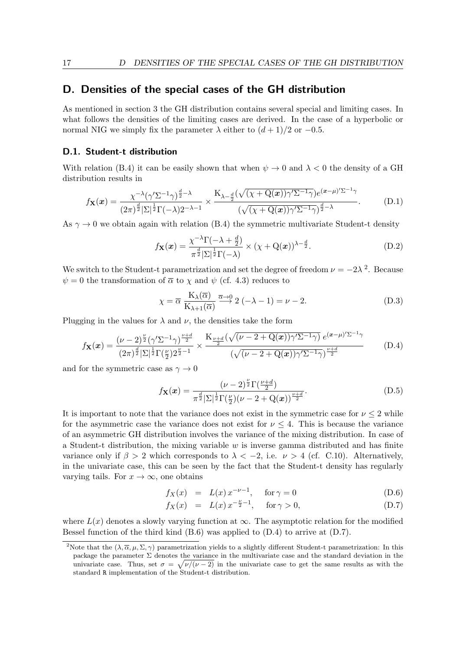### <span id="page-17-0"></span>D. Densities of the special cases of the GH distribution

As mentioned in section [3](#page-5-1) the GH distribution contains several special and limiting cases. In what follows the densities of the limiting cases are derived. In the case of a hyperbolic or normal NIG we simply fix the parameter  $\lambda$  either to  $(d+1)/2$  or  $-0.5$ .

#### <span id="page-17-1"></span>D.1. Student-t distribution

With relation [\(B.4\)](#page-13-3) it can be easily shown that when  $\psi \to 0$  and  $\lambda < 0$  the density of a GH distribution results in

$$
f_{\mathbf{X}}(\boldsymbol{x}) = \frac{\chi^{-\lambda}(\gamma^{\prime} \Sigma^{-1} \gamma)^{\frac{d}{2}-\lambda}}{(2\pi)^{\frac{d}{2}} |\Sigma|^{\frac{1}{2}} \Gamma(-\lambda) 2^{-\lambda-1}} \times \frac{K_{\lambda-\frac{d}{2}}(\sqrt{(\chi+Q(\boldsymbol{x}))\gamma^{\prime} \Sigma^{-1} \gamma}) e^{(\boldsymbol{x}-\mu)^{\prime} \Sigma^{-1} \gamma}}{(\sqrt{(\chi+Q(\boldsymbol{x}))\gamma^{\prime} \Sigma^{-1} \gamma})^{\frac{d}{2}-\lambda}}.
$$
(D.1)

As  $\gamma \rightarrow 0$  we obtain again with relation [\(B.4\)](#page-13-3) the symmetric multivariate Student-t density

$$
f_{\mathbf{X}}(\boldsymbol{x}) = \frac{\chi^{-\lambda} \Gamma(-\lambda + \frac{d}{2})}{\pi^{\frac{d}{2}} |\Sigma|^{\frac{1}{2}} \Gamma(-\lambda)} \times (\chi + \mathbf{Q}(\boldsymbol{x}))^{\lambda - \frac{d}{2}}.
$$
 (D.2)

We switch to the Student-t parametrization and set the degree of freedom  $\nu = -2\lambda^2$  $\nu = -2\lambda^2$  $\nu = -2\lambda^2$ . Because  $\psi = 0$  the transformation of  $\bar{\alpha}$  to  $\chi$  and  $\psi$  (cf. [4.3\)](#page-7-2) reduces to

<span id="page-17-2"></span>
$$
\chi = \overline{\alpha} \; \frac{K_{\lambda}(\overline{\alpha})}{K_{\lambda+1}(\overline{\alpha})} \stackrel{\overline{\alpha}\to 0}{\longrightarrow} 2\;(-\lambda - 1) = \nu - 2. \tag{D.3}
$$

Plugging in the values for  $\lambda$  and  $\nu$ , the densities take the form

<span id="page-17-4"></span>
$$
f_{\mathbf{X}}(\boldsymbol{x}) = \frac{(\nu - 2)^{\frac{\nu}{2}} (\gamma' \Sigma^{-1} \gamma)^{\frac{\nu + d}{2}}}{(2\pi)^{\frac{d}{2}} |\Sigma|^{\frac{1}{2}} \Gamma(\frac{\nu}{2}) 2^{\frac{\nu}{2} - 1}} \times \frac{K_{\frac{\nu + d}{2}} (\sqrt{(\nu - 2 + Q(\boldsymbol{x})) \gamma' \Sigma^{-1} \gamma)} e^{(\boldsymbol{x} - \mu)' \Sigma^{-1} \gamma}}{(\sqrt{(\nu - 2 + Q(\boldsymbol{x})) \gamma' \Sigma^{-1} \gamma})^{\frac{\nu + d}{2}}} \tag{D.4}
$$

and for the symmetric case as  $\gamma \to 0$ 

$$
f_{\mathbf{X}}(\boldsymbol{x}) = \frac{(\nu - 2)^{\frac{\nu}{2}} \Gamma(\frac{\nu + d}{2})}{\pi^{\frac{d}{2}} |\Sigma|^{\frac{1}{2}} \Gamma(\frac{\nu}{2}) (\nu - 2 + \mathbf{Q}(\boldsymbol{x}))^{\frac{\nu + d}{2}}}.
$$
(D.5)

It is important to note that the variance does not exist in the symmetric case for  $\nu \leq 2$  while for the asymmetric case the variance does not exist for  $\nu \leq 4$ . This is because the variance of an asymmetric GH distribution involves the variance of the mixing distribution. In case of a Student-t distribution, the mixing variable *w* is inverse gamma distributed and has finite variance only if  $\beta > 2$  which corresponds to  $\lambda < -2$ , i.e.  $\nu > 4$  (cf. [C.10\)](#page-16-1). Alternatively, in the univariate case, this can be seen by the fact that the Student-t density has regularly varying tails. For  $x \to \infty$ , one obtains

$$
f_X(x) = L(x) x^{-\nu - 1}, \quad \text{for } \gamma = 0
$$
 (D.6)

<span id="page-17-5"></span>
$$
f_X(x) = L(x) x^{-\frac{\nu}{2} - 1}, \quad \text{for } \gamma > 0,
$$
 (D.7)

where  $L(x)$  denotes a slowly varying function at  $\infty$ . The asymptotic relation for the modified Bessel function of the third kind  $(B.6)$  was applied to  $(D.4)$  to arrive at  $(D.7)$ .

<span id="page-17-3"></span><sup>&</sup>lt;sup>2</sup>Note that the  $(\lambda, \overline{\alpha}, \mu, \Sigma, \gamma)$  parametrization yields to a slightly different Student-t parametrization: In this package the parameter  $\Sigma$  denotes the variance in the multivariate case and the standard deviation in the univariate case. Thus, set  $\sigma = \sqrt{\nu/(\nu - 2)}$  in the univariate case to get the same results as with the standard R implementation of the Student-t distribution.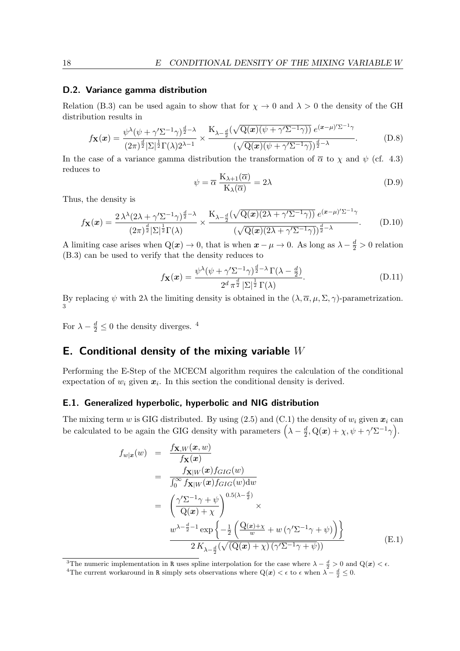#### <span id="page-18-0"></span>D.2. Variance gamma distribution

Relation [\(B.3\)](#page-13-4) can be used again to show that for  $\chi \to 0$  and  $\lambda > 0$  the density of the GH distribution results in

$$
f_{\mathbf{X}}(\boldsymbol{x}) = \frac{\psi^{\lambda}(\psi + \gamma' \Sigma^{-1} \gamma)^{\frac{d}{2} - \lambda}}{(2\pi)^{\frac{d}{2}} |\Sigma|^{\frac{1}{2}} \Gamma(\lambda) 2^{\lambda - 1}} \times \frac{K_{\lambda - \frac{d}{2}}(\sqrt{Q(\boldsymbol{x})(\psi + \gamma' \Sigma^{-1} \gamma)}) e^{(\boldsymbol{x} - \mu)' \Sigma^{-1} \gamma}}{(\sqrt{Q(\boldsymbol{x})(\psi + \gamma' \Sigma^{-1} \gamma)})^{\frac{d}{2} - \lambda}}.
$$
 (D.8)

In the case of a variance gamma distribution the transformation of  $\bar{\alpha}$  to  $\chi$  and  $\psi$  (cf. [4.3\)](#page-7-2) reduces to

<span id="page-18-3"></span>
$$
\psi = \overline{\alpha} \frac{K_{\lambda+1}(\overline{\alpha})}{K_{\lambda}(\overline{\alpha})} = 2\lambda
$$
\n(D.9)

Thus, the density is

$$
f_{\mathbf{X}}(\boldsymbol{x}) = \frac{2\,\lambda^{\lambda}(2\lambda + \gamma^{\prime}\Sigma^{-1}\gamma)^{\frac{d}{2}-\lambda}}{(2\pi)^{\frac{d}{2}}|\Sigma|^{\frac{1}{2}}\Gamma(\lambda)} \times \frac{K_{\lambda-\frac{d}{2}}(\sqrt{Q(\boldsymbol{x})(2\lambda+\gamma^{\prime}\Sigma^{-1}\gamma)})e^{(\boldsymbol{x}-\mu)^{\prime}\Sigma^{-1}\gamma}}{(\sqrt{Q(\boldsymbol{x})(2\lambda+\gamma^{\prime}\Sigma^{-1}\gamma)})^{\frac{d}{2}-\lambda}}.
$$
(D.10)

A limiting case arises when  $Q(x) \to 0$ , that is when  $x - \mu \to 0$ . As long as  $\lambda - \frac{d}{2} > 0$  relation [\(B.3\)](#page-13-4) can be used to verify that the density reduces to

$$
f_{\mathbf{X}}(\boldsymbol{x}) = \frac{\psi^{\lambda}(\psi + \gamma^{\prime} \Sigma^{-1} \gamma)^{\frac{d}{2} - \lambda} \Gamma(\lambda - \frac{d}{2})}{2^d \pi^{\frac{d}{2}} |\Sigma|^{\frac{1}{2}} \Gamma(\lambda)}.
$$
 (D.11)

By replacing  $\psi$  with  $2\lambda$  the limiting density is obtained in the  $(\lambda, \overline{\alpha}, \mu, \Sigma, \gamma)$ -parametrization.

For  $\lambda - \frac{d}{2} \leq 0$  the density diverges. <sup>[4](#page-18-6)</sup>

### <span id="page-18-1"></span>E. Conditional density of the mixing variable *W*

Performing the E-Step of the MCECM algorithm requires the calculation of the conditional expectation of  $w_i$  given  $x_i$ . In this section the conditional density is derived.

#### <span id="page-18-2"></span>E.1. Generalized hyperbolic, hyperbolic and NIG distribution

The mixing term *w* is GIG distributed. By using  $(2.5)$  and  $(C.1)$  the density of  $w_i$  given  $x_i$  can be calculated to be again the GIG density with parameters  $\left(\lambda - \frac{d}{2}\right)$  $\frac{d}{2}, \mathrm{Q}(\boldsymbol{x}) + \chi, \psi + \gamma' \Sigma^{-1} \gamma \Big).$ 

<span id="page-18-4"></span>
$$
f_{w|x}(w) = \frac{f_{\mathbf{X},W}(x,w)}{f_{\mathbf{X}}(x)}
$$
  
\n
$$
= \frac{f_{\mathbf{X}|W}(x)f_{GIG}(w)}{\int_0^\infty f_{\mathbf{X}|W}(x)f_{GIG}(w)dw}
$$
  
\n
$$
= \left(\frac{\gamma' \Sigma^{-1} \gamma + \psi}{Q(x) + \chi}\right)^{0.5(\lambda - \frac{d}{2})} \times
$$
  
\n
$$
\frac{w^{\lambda - \frac{d}{2} - 1} \exp\left\{-\frac{1}{2} \left(\frac{Q(x) + \chi}{w} + w \left(\gamma' \Sigma^{-1} \gamma + \psi\right)\right)\right\}}{2K_{\lambda - \frac{d}{2}}(\sqrt{(Q(x) + \chi)\left(\gamma' \Sigma^{-1} \gamma + \psi\right)})}
$$
(E.1)

<span id="page-18-5"></span><sup>3</sup>The numeric implementation in R uses spline interpolation for the case where  $\lambda - \frac{d}{2} > 0$  and  $Q(x) < \epsilon$ .

<span id="page-18-6"></span><sup>&</sup>lt;sup>4</sup>The current workaround in R simply sets observations where  $Q(x) < \epsilon$  to  $\epsilon$  when  $\lambda - \frac{d}{2} \leq 0$ .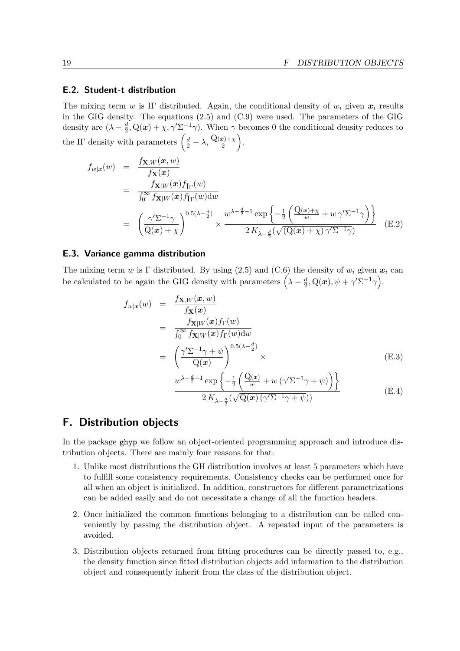### <span id="page-19-0"></span>E.2. Student-t distribution

The mixing term *w* is IF distributed. Again, the conditional density of  $w_i$  given  $x_i$  results in the GIG density. The equations [\(2.5\)](#page-4-4) and [\(C.9\)](#page-16-2) were used. The parameters of the GIG density are  $(\lambda - \frac{d}{2})$  $\frac{d}{2}$ , Q(x) +  $\chi$ ,  $\gamma' \Sigma^{-1} \gamma$ ). When  $\gamma$  becomes 0 the conditional density reduces to the IF density with parameters  $\left(\frac{d}{2} - \lambda, \frac{Q(x)+\chi}{2}\right)$ .

<span id="page-19-3"></span>
$$
f_{w|x}(w) = \frac{f_{\mathbf{X},W}(x,w)}{f_{\mathbf{X}}(x)} = \frac{f_{\mathbf{X}|W}(x)f_{\Gamma}(w)}{\int_0^\infty f_{\mathbf{X}|W}(x)f_{\Gamma}(w)dw} = \left(\frac{\gamma'\Sigma^{-1}\gamma}{\mathcal{Q}(x)+\chi}\right)^{0.5(\lambda-\frac{d}{2})} \times \frac{w^{\lambda-\frac{d}{2}-1}\exp\left\{-\frac{1}{2}\left(\frac{\mathcal{Q}(x)+\chi}{w}+w\gamma'\Sigma^{-1}\gamma\right)\right\}}{2K_{\lambda-\frac{d}{2}}(\sqrt{(\mathcal{Q}(x)+\chi)\gamma'\Sigma^{-1}\gamma})}
$$
(E.2)

#### <span id="page-19-1"></span>E.3. Variance gamma distribution

The mixing term *w* is Γ distributed. By using [\(2.5\)](#page-4-4) and [\(C.6\)](#page-15-6) the density of  $w_i$  given  $x_i$  can be calculated to be again the GIG density with parameters  $\left(\lambda - \frac{d}{2}\right)$  $\frac{d}{2}, \mathrm{Q}(\boldsymbol{x}), \psi + \gamma' \Sigma^{-1} \gamma \Big).$ 

$$
f_{w|x}(w) = \frac{f_{\mathbf{X},W}(x,w)}{f_{\mathbf{X}}(x)}
$$
  
\n
$$
= \frac{f_{\mathbf{X}|W}(x)f_{\Gamma}(w)}{\int_0^\infty f_{\mathbf{X}|W}(x)f_{\Gamma}(w)dw}
$$
  
\n
$$
= \left(\frac{\gamma' \Sigma^{-1} \gamma + \psi}{Q(x)}\right)^{0.5(\lambda - \frac{d}{2})} \times
$$
  
\n
$$
w^{\lambda - \frac{d}{2} - 1} \exp\left\{-\frac{1}{2} \left(\frac{Q(x)}{w} + w \left(\gamma' \Sigma^{-1} \gamma + \psi\right)\right)\right\}
$$
(E.4)

 $2\, K_{\lambda-\frac{d}{2}}(\sqrt{\mathrm{Q}(\boldsymbol{x})\, (\gamma'\Sigma^{-1}\gamma + \psi)})$ 

# <span id="page-19-2"></span>F. Distribution objects

In the package ghyp we follow an object-oriented programming approach and introduce distribution objects. There are mainly four reasons for that:

- 1. Unlike most distributions the GH distribution involves at least 5 parameters which have to fulfill some consistency requirements. Consistency checks can be performed once for all when an object is initialized. In addition, constructors for different parametrizations can be added easily and do not necessitate a change of all the function headers.
- 2. Once initialized the common functions belonging to a distribution can be called conveniently by passing the distribution object. A repeated input of the parameters is avoided.
- 3. Distribution objects returned from fitting procedures can be directly passed to, e.g., the density function since fitted distribution objects add information to the distribution object and consequently inherit from the class of the distribution object.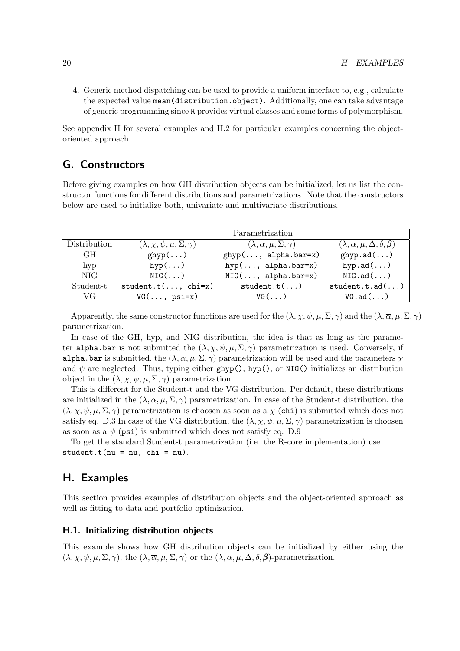4. Generic method dispatching can be used to provide a uniform interface to, e.g., calculate the expected value mean(distribution.object). Additionally, one can take advantage of generic programming since R provides virtual classes and some forms of polymorphism.

See appendix [H](#page-20-1) for several examples and [H.2](#page-21-0) for particular examples concerning the objectoriented approach.

### <span id="page-20-0"></span>G. Constructors

Before giving examples on how GH distribution objects can be initialized, let us list the constructor functions for different distributions and parametrizations. Note that the constructors below are used to initialize both, univariate and multivariate distributions.

|              | Parametrization                              |                                                     |                                                 |  |  |  |  |
|--------------|----------------------------------------------|-----------------------------------------------------|-------------------------------------------------|--|--|--|--|
| Distribution | $(\lambda, \chi, \psi, \mu, \Sigma, \gamma)$ | $(\lambda, \overline{\alpha}, \mu, \Sigma, \gamma)$ | $(\lambda, \alpha, \mu, \Delta, \delta, \beta)$ |  |  |  |  |
| GH.          | $ghyp$ ()                                    | $ghyp(, alpha.bar=x)$                               | ghyp.add()                                      |  |  |  |  |
| hyp          | $hyp(\ldots)$                                | $hyp(, alpha.bar=x)$                                | hyp.ad $(\ldots)$                               |  |  |  |  |
| NIG.         | $NIG($ $)$                                   | $NIG(, alpha.bar=x)$                                | NIG.add()                                       |  |  |  |  |
| Student-t    | $student.t(, chi=x)$                         | student.t()                                         | student.t.add()                                 |  |  |  |  |
| VG.          | $VG(\ldots, \psi)$                           | $VG( \ldots )$                                      | VG.add()                                        |  |  |  |  |

Apparently, the same constructor functions are used for the  $(\lambda, \chi, \psi, \mu, \Sigma, \gamma)$  and the  $(\lambda, \overline{\alpha}, \mu, \Sigma, \gamma)$ parametrization.

In case of the GH, hyp, and NIG distribution, the idea is that as long as the parameter alpha.bar is not submitted the  $(\lambda, \chi, \psi, \mu, \Sigma, \gamma)$  parametrization is used. Conversely, if alpha.bar is submitted, the  $(\lambda, \overline{\alpha}, \mu, \Sigma, \gamma)$  parametrization will be used and the parameters  $\chi$ and  $\psi$  are neglected. Thus, typing either ghyp(), hyp(), or NIG() initializes an distribution object in the  $(\lambda, \chi, \psi, \mu, \Sigma, \gamma)$  parametrization.

This is different for the Student-t and the VG distribution. Per default, these distributions are initialized in the  $(\lambda, \overline{\alpha}, \mu, \Sigma, \gamma)$  parametrization. In case of the Student-t distribution, the  $(\lambda, \chi, \psi, \mu, \Sigma, \gamma)$  parametrization is choosen as soon as a  $\chi$  (chi) is submitted which does not satisfy eq. [D.3](#page-17-2) In case of the VG distribution, the  $(\lambda, \chi, \psi, \mu, \Sigma, \gamma)$  parametrization is choosen as soon as a  $\psi$  (psi) is submitted which does not satisfy eq. [D.9](#page-18-3)

To get the standard Student-t parametrization (i.e. the R-core implementation) use  $student.t(nu = nu, chi = nu).$ 

### <span id="page-20-1"></span>H. Examples

This section provides examples of distribution objects and the object-oriented approach as well as fitting to data and portfolio optimization.

#### <span id="page-20-2"></span>H.1. Initializing distribution objects

This example shows how GH distribution objects can be initialized by either using the  $(\lambda, \chi, \psi, \mu, \Sigma, \gamma)$ , the  $(\lambda, \overline{\alpha}, \mu, \Sigma, \gamma)$  or the  $(\lambda, \alpha, \mu, \Delta, \delta, \beta)$ -parametrization.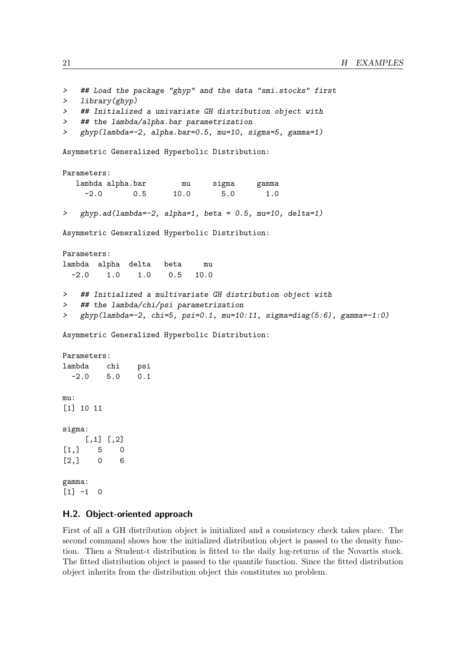```
> ## Load the package "ghyp" and the data "smi.stocks" first
> library(ghyp)
> ## Initialized a univariate GH distribution object with
> ## the lambda/alpha.bar parametrization
> ghyp(lambda=-2, alpha.bar=0.5, mu=10, sigma=5, gamma=1)
Asymmetric Generalized Hyperbolic Distribution:
Parameters:
  lambda alpha.bar mu sigma gamma
    -2.0 0.5 10.0 5.0 1.0
> ghyp.ad(lambda=-2, alpha=1, beta = 0.5, mu=10, delta=1)
Asymmetric Generalized Hyperbolic Distribution:
Parameters:
lambda alpha delta beta mu
 -2.0 1.0 1.0 0.5 10.0
> ## Initialized a multivariate GH distribution object with
> ## the lambda/chi/psi parametrization
> ghyp(lambda=-2, chi=5, psi=0.1, mu=10:11, sigma=diag(5:6), gamma=-1:0)
Asymmetric Generalized Hyperbolic Distribution:
Parameters:
lambda chi psi
 -2.0 5.0 0.1
mu:
[1] 10 11
sigma:
    [,1] [,2][1,] 5 0[2,] 0 6gamma:
[1] -1 0
```
### <span id="page-21-0"></span>H.2. Object-oriented approach

First of all a GH distribution object is initialized and a consistency check takes place. The second command shows how the initialized distribution object is passed to the density function. Then a Student-t distribution is fitted to the daily log-returns of the Novartis stock. The fitted distribution object is passed to the quantile function. Since the fitted distribution object inherits from the distribution object this constitutes no problem.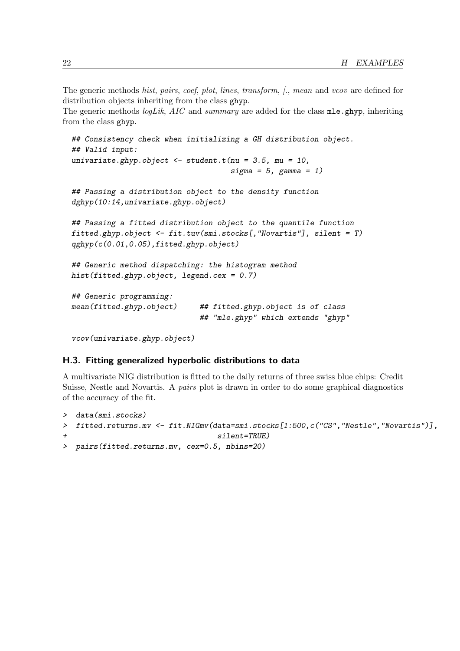The generic methods *hist*, *pairs*, *coef*, *plot*, *lines*, *transform*, *[.*, *mean* and *vcov* are defined for distribution objects inheriting from the class ghyp.

The generic methods *logLik*, *AIC* and *summary* are added for the class mle.ghyp, inheriting from the class ghyp.

```
## Consistency check when initializing a GH distribution object.
## Valid input:
univariate.ghyp.object <- student.t(nu = 3.5, mu = 10,
                                    sigma = 5, gamma = 1)
## Passing a distribution object to the density function
dghyp(10:14,univariate.ghyp.object)
## Passing a fitted distribution object to the quantile function
fitted.ghyp.object <- fit.tuv(smi.stocks[,"Novartis"], silent = T)
qghyp(c(0.01,0.05),fitted.ghyp.object)
## Generic method dispatching: the histogram method
hist(fitted.ghyp.object, legend.cex = 0.7)
## Generic programming:
mean(fitted.ghyp.object) ## fitted.ghyp.object is of class
                             ## "mle.ghyp" which extends "ghyp"
vcov(univariate.ghyp.object)
```
### <span id="page-22-0"></span>H.3. Fitting generalized hyperbolic distributions to data

A multivariate NIG distribution is fitted to the daily returns of three swiss blue chips: Credit Suisse, Nestle and Novartis. A *pairs* plot is drawn in order to do some graphical diagnostics of the accuracy of the fit.

```
> data(smi.stocks)
> fitted.returns.mv <- fit.NIGmv(data=smi.stocks[1:500,c("CS","Nestle","Novartis")],
+ silent=TRUE)
> pairs(fitted.returns.mv, cex=0.5, nbins=20)
```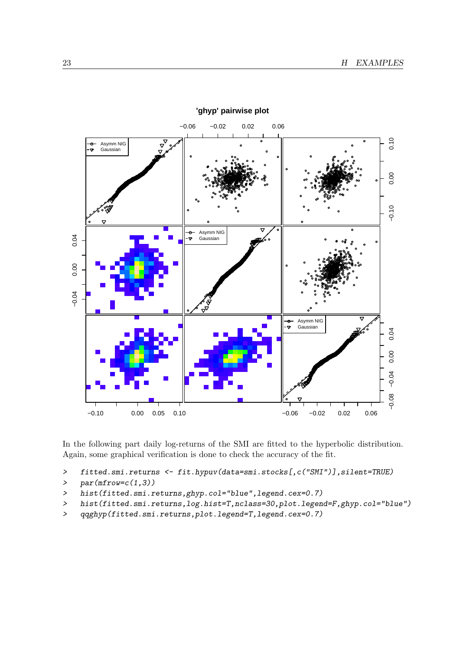

'ghyp' pairwise plot

In the following part daily log-returns of the SMI are fitted to the hyperbolic distribution. Again, some graphical verification is done to check the accuracy of the fit.

```
fitted.smi.returns <- fit.hypuv(data=smi.stocks[,c("SMI")],silent=TRUE)
\rightarrow
```

```
par(mfrow=c(1,3))\mathbf{L}
```
- hist(fitted.smi.returns,ghyp.col="blue",legend.cex=0.7)  $\,>$
- hist(fitted.smi.returns, log.hist=T,nclass=30,plot.legend=F,ghyp.col="blue")  $\rightarrow$
- qqghyp(fitted.smi.returns, plot.legend=T, legend.cex=0.7)  $\geq$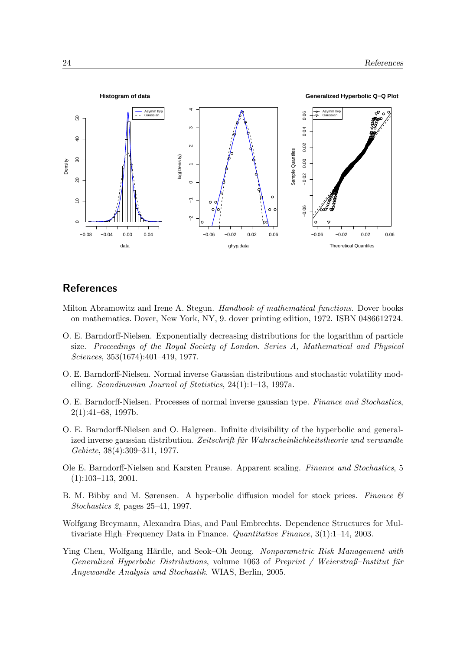

### **References**

- <span id="page-24-8"></span>Milton Abramowitz and Irene A. Stegun. *Handbook of mathematical functions*. Dover books on mathematics. Dover, New York, NY, 9. dover printing edition, 1972. ISBN 0486612724.
- <span id="page-24-0"></span>O. E. Barndorff-Nielsen. Exponentially decreasing distributions for the logarithm of particle size. *Proceedings of the Royal Society of London. Series A, Mathematical and Physical Sciences*, 353(1674):401–419, 1977.
- <span id="page-24-5"></span>O. E. Barndorff-Nielsen. Normal inverse Gaussian distributions and stochastic volatility modelling. *Scandinavian Journal of Statistics*, 24(1):1–13, 1997a.
- <span id="page-24-6"></span>O. E. Barndorff-Nielsen. Processes of normal inverse gaussian type. *Finance and Stochastics*, 2(1):41–68, 1997b.
- <span id="page-24-1"></span>O. E. Barndorff-Nielsen and O. Halgreen. Infinite divisibility of the hyperbolic and generalized inverse gaussian distribution. Zeitschrift für Wahrscheinlichkeitstheorie und verwandte *Gebiete*, 38(4):309–311, 1977.
- <span id="page-24-2"></span>Ole E. Barndorff-Nielsen and Karsten Prause. Apparent scaling. *Finance and Stochastics*, 5 (1):103–113, 2001.
- <span id="page-24-7"></span>B. M. Bibby and M. Sørensen. A hyperbolic diffusion model for stock prices. *Finance & Stochastics 2*, pages 25–41, 1997.
- <span id="page-24-3"></span>Wolfgang Breymann, Alexandra Dias, and Paul Embrechts. Dependence Structures for Multivariate High–Frequency Data in Finance. *Quantitative Finance*, 3(1):1–14, 2003.
- <span id="page-24-4"></span>Ying Chen, Wolfgang Härdle, and Seok-Oh Jeong. Nonparametric Risk Management with *Generalized Hyperbolic Distributions*, volume 1063 of *Preprint / Weierstraß–Institut fur¨ Angewandte Analysis und Stochastik*. WIAS, Berlin, 2005.